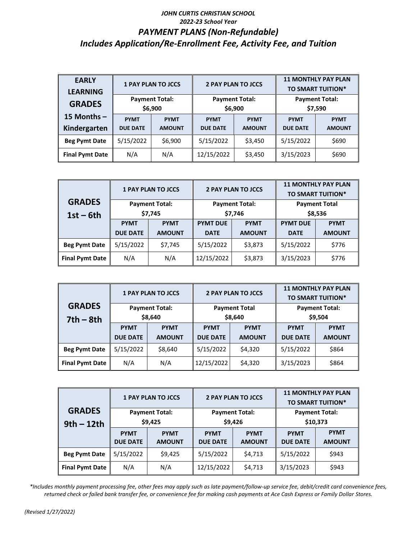## *JOHN CURTIS CHRISTIAN SCHOOL 2022-23 School Year PAYMENT PLANS (Non-Refundable) Includes Application/Re-Enrollment Fee, Activity Fee, and Tuition*

| <b>EARLY</b><br><b>LEARNING</b> |                                  | <b>1 PAY PLAN TO JCCS</b>    |                                | <b>2 PAY PLAN TO JCCS</b>        | <b>11 MONTHLY PAY PLAN</b><br>TO SMART TUITION* |                              |
|---------------------------------|----------------------------------|------------------------------|--------------------------------|----------------------------------|-------------------------------------------------|------------------------------|
| <b>GRADES</b>                   | <b>Payment Total:</b><br>\$6,900 |                              |                                | <b>Payment Total:</b><br>\$6,900 | <b>Payment Total:</b><br>\$7,590                |                              |
| 15 Months -<br>Kindergarten     | <b>PYMT</b><br><b>DUE DATE</b>   | <b>PYMT</b><br><b>AMOUNT</b> | <b>PYMT</b><br><b>DUE DATE</b> | <b>PYMT</b><br><b>AMOUNT</b>     | <b>PYMT</b><br><b>DUE DATE</b>                  | <b>PYMT</b><br><b>AMOUNT</b> |
| <b>Beg Pymt Date</b>            | 5/15/2022                        | \$6,900                      | 5/15/2022                      | \$3,450                          | 5/15/2022                                       | \$690                        |
| <b>Final Pymt Date</b>          | N/A                              | N/A                          | 12/15/2022                     | \$3,450                          | 3/15/2023                                       | \$690                        |

|                        |                       | <b>1 PAY PLAN TO JCCS</b> |                 | <b>2 PAY PLAN TO JCCS</b> | <b>11 MONTHLY PAY PLAN</b><br><b>TO SMART TUITION*</b> |               |  |
|------------------------|-----------------------|---------------------------|-----------------|---------------------------|--------------------------------------------------------|---------------|--|
| <b>GRADES</b>          | <b>Payment Total:</b> |                           |                 | <b>Payment Total:</b>     | <b>Payment Total</b>                                   |               |  |
| $1st - 6th$            | \$7,745               |                           |                 | \$7,746                   | \$8,536                                                |               |  |
|                        | <b>PYMT</b>           | <b>PYMT</b>               | <b>PYMT DUE</b> | <b>PYMT</b>               | <b>PYMT DUE</b>                                        | <b>PYMT</b>   |  |
|                        | <b>DUE DATE</b>       | <b>AMOUNT</b>             | <b>DATE</b>     | <b>AMOUNT</b>             | <b>DATE</b>                                            | <b>AMOUNT</b> |  |
| <b>Beg Pymt Date</b>   | 5/15/2022             | \$7,745                   | 5/15/2022       | \$3,873                   | 5/15/2022                                              | \$776         |  |
| <b>Final Pymt Date</b> | N/A                   | N/A                       | 12/15/2022      | \$3,873                   | 3/15/2023                                              | \$776         |  |

|                        |                                  | <b>1 PAY PLAN TO JCCS</b> |                 | <b>2 PAY PLAN TO JCCS</b> | <b>11 MONTHLY PAY PLAN</b><br><b>TO SMART TUITION*</b> |               |
|------------------------|----------------------------------|---------------------------|-----------------|---------------------------|--------------------------------------------------------|---------------|
| <b>GRADES</b>          | <b>Payment Total:</b><br>\$8,640 |                           |                 | <b>Payment Total</b>      | <b>Payment Total:</b>                                  |               |
| $7th - 8th$            |                                  |                           |                 | \$8,640                   | \$9,504                                                |               |
|                        | <b>PYMT</b>                      | <b>PYMT</b>               | <b>PYMT</b>     | <b>PYMT</b>               | <b>PYMT</b>                                            | <b>PYMT</b>   |
|                        | <b>DUE DATE</b>                  | <b>AMOUNT</b>             | <b>DUE DATE</b> | <b>AMOUNT</b>             | <b>DUE DATE</b>                                        | <b>AMOUNT</b> |
| <b>Beg Pymt Date</b>   | 5/15/2022                        | \$8,640                   | 5/15/2022       | \$4,320                   | 5/15/2022                                              | \$864         |
| <b>Final Pymt Date</b> | N/A                              | N/A                       | 12/15/2022      | \$4,320                   | 3/15/2023                                              | \$864         |

|                        |                                  | <b>1 PAY PLAN TO JCCS</b> |                            | <b>2 PAY PLAN TO JCCS</b> | <b>11 MONTHLY PAY PLAN</b><br><b>TO SMART TUITION*</b> |               |  |
|------------------------|----------------------------------|---------------------------|----------------------------|---------------------------|--------------------------------------------------------|---------------|--|
| <b>GRADES</b>          | <b>Payment Total:</b><br>\$9,425 |                           |                            | <b>Payment Total:</b>     | <b>Payment Total:</b>                                  |               |  |
| $9th - 12th$           |                                  |                           |                            | \$9,426                   | \$10,373                                               |               |  |
|                        | <b>PYMT</b>                      | <b>PYMT</b>               | <b>PYMT</b><br><b>PYMT</b> |                           | <b>PYMT</b>                                            | <b>PYMT</b>   |  |
|                        | <b>DUE DATE</b>                  | <b>AMOUNT</b>             | <b>DUE DATE</b>            | <b>AMOUNT</b>             | <b>DUE DATE</b>                                        | <b>AMOUNT</b> |  |
| <b>Beg Pymt Date</b>   | 5/15/2022                        | \$9,425                   | 5/15/2022                  | \$4,713                   | 5/15/2022                                              | \$943         |  |
| <b>Final Pymt Date</b> | N/A                              | N/A                       | 12/15/2022                 | \$4,713                   | 3/15/2023                                              | \$943         |  |

*\*Includes monthly payment processing fee, other fees may apply such as late payment/follow-up service fee, debit/credit card convenience fees, returned check or failed bank transfer fee, or convenience fee for making cash payments at Ace Cash Express or Family Dollar Stores.*